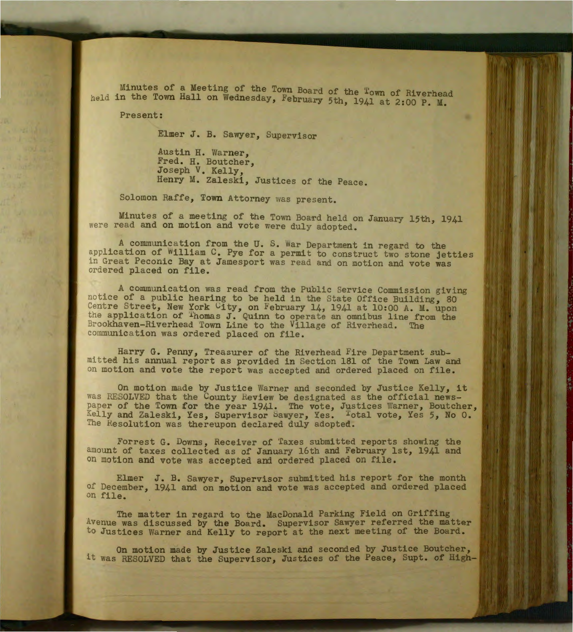Minutes of a Meeting of the Town Board of the Town of Riverhead held in the Town Hall on Wednesday, February 5th, 1941 at 2:00 P. M.

Present:

Elmer J. B. Sawyer, Supervisor

Austin H. Warner, Fred. H. Boutcher, Joseph V. Kelly, Henry M. Zaleski, Justices of the Peace.

Solomon Raffe, Town Attorney was present.

Minutes of a meeting of the Town Board held on January 15th, 1941 were read and on motion and vote were duly adopted.

A communication from the U. S. War Department in regard to the application of William C. Pye for a permit to construct two stone jetties in Great Peconic Bay at Jamesport was read and on motion and vote was ordered placed on file.

A communication was read from the Public Service Commission giving notice of a public hearing to be held in the State Office Building, 80 Centre Street, New York City, on February 14, 1941 at 10:00 A. M. upon the application of <sup>T</sup>homas J. Quinn to operate an omnibus line from the Brookhaven-Riverhead Town Line to the Village of Riverhead. The communication was ordered placed on file.

Harry G. Penny, Treasurer of the Riverhead Fire Department submitted his annual report as provided in Section 181 of the Town Law and on motion and vote the report was accepted and ordered placed on file.

On motion made by Justice Warner and seconded by Justice Kelly, it was RESOLVED that the County Review be designated as the official newspaper of the Town for the year 1941. The vote, Justices Warner, Boutcher, Kelly and Zaleski, Yes, Supervisor Sawyer, Yes. <sup>T</sup>otal vote, Yes 5, No 0. The Resolution was thereupon declared duly adopted.

Forrest G. Downs, Heceiver of 'Iaxes submitted reports showing the amount of taxes collected as of January 16th and February 1st, 1941 and on motion and vote was accepted and ordered placed on file.

Elmer J. B. Sawyer, Supervisor submitted his report for the month of December, 1941 and on motion and vote was accepted and ordered placed on file.

The matter in regard to the MacDonald Parking Field on Griffing Avenue was discussed by the Board. Supervisor Sawyer referred the matter to Justices Warner and Kelly to report at the next meeting of the Board.

On motion made by Justice Zaleski and seconded by Justice Boutcher, it was RESOLVED that the Supervisor, Justices of the Peace, Supt. of High